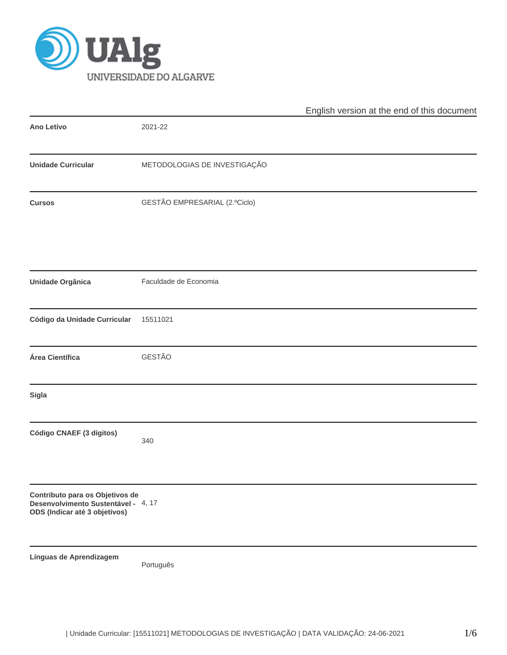

|                                                                                                         |                               | English version at the end of this document |  |  |  |
|---------------------------------------------------------------------------------------------------------|-------------------------------|---------------------------------------------|--|--|--|
| Ano Letivo                                                                                              | 2021-22                       |                                             |  |  |  |
| <b>Unidade Curricular</b>                                                                               | METODOLOGIAS DE INVESTIGAÇÃO  |                                             |  |  |  |
| <b>Cursos</b>                                                                                           | GESTÃO EMPRESARIAL (2.ºCiclo) |                                             |  |  |  |
| Unidade Orgânica                                                                                        | Faculdade de Economia         |                                             |  |  |  |
| Código da Unidade Curricular                                                                            | 15511021                      |                                             |  |  |  |
| Área Científica                                                                                         | GESTÃO                        |                                             |  |  |  |
| <b>Sigla</b>                                                                                            |                               |                                             |  |  |  |
| Código CNAEF (3 dígitos)                                                                                | 340                           |                                             |  |  |  |
| Contributo para os Objetivos de<br>Desenvolvimento Sustentável - 4, 17<br>ODS (Indicar até 3 objetivos) |                               |                                             |  |  |  |
| Línguas de Aprendizagem                                                                                 | Português                     |                                             |  |  |  |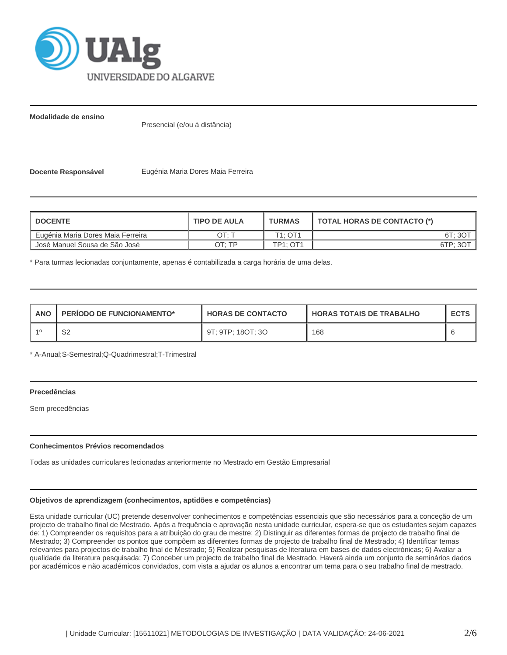

**Modalidade de ensino**

Presencial (e/ou à distância)

**Docente Responsável <b>Eugénia Maria Dores Maia Ferreira** 

| <b>I DOCENTE</b>                  | <b>TIPO DE AULA</b> | <b>TURMAS</b>                    | TOTAL HORAS DE CONTACTO (*) |
|-----------------------------------|---------------------|----------------------------------|-----------------------------|
| Eugénia Maria Dores Maia Ferreira | DT: 1               | T <sub>1</sub> : OT <sub>1</sub> | 6T: 3O <sup>-</sup>         |
| José Manuel Sousa de São José     | OT: TP              | <b>TP1: OT1</b>                  | 6TP: 30                     |

\* Para turmas lecionadas conjuntamente, apenas é contabilizada a carga horária de uma delas.

| <b>ANO</b> | <b>PERIODO DE FUNCIONAMENTO*</b> | <b>HORAS DE CONTACTO</b> | <b>HORAS TOTAIS DE TRABALHO</b> | <b>ECTS</b> |
|------------|----------------------------------|--------------------------|---------------------------------|-------------|
|            | ےت                               | 9T: 9TP: 18OT: 3O        | 168                             |             |

\* A-Anual;S-Semestral;Q-Quadrimestral;T-Trimestral

# **Precedências**

Sem precedências

# **Conhecimentos Prévios recomendados**

Todas as unidades curriculares lecionadas anteriormente no Mestrado em Gestão Empresarial

# **Objetivos de aprendizagem (conhecimentos, aptidões e competências)**

Esta unidade curricular (UC) pretende desenvolver conhecimentos e competências essenciais que são necessários para a conceção de um projecto de trabalho final de Mestrado. Após a frequência e aprovação nesta unidade curricular, espera-se que os estudantes sejam capazes de: 1) Compreender os requisitos para a atribuição do grau de mestre; 2) Distinguir as diferentes formas de projecto de trabalho final de Mestrado; 3) Compreender os pontos que compõem as diferentes formas de projecto de trabalho final de Mestrado; 4) Identificar temas relevantes para projectos de trabalho final de Mestrado; 5) Realizar pesquisas de literatura em bases de dados electrónicas; 6) Avaliar a qualidade da literatura pesquisada; 7) Conceber um projecto de trabalho final de Mestrado. Haverá ainda um conjunto de seminários dados por académicos e não académicos convidados, com vista a ajudar os alunos a encontrar um tema para o seu trabalho final de mestrado.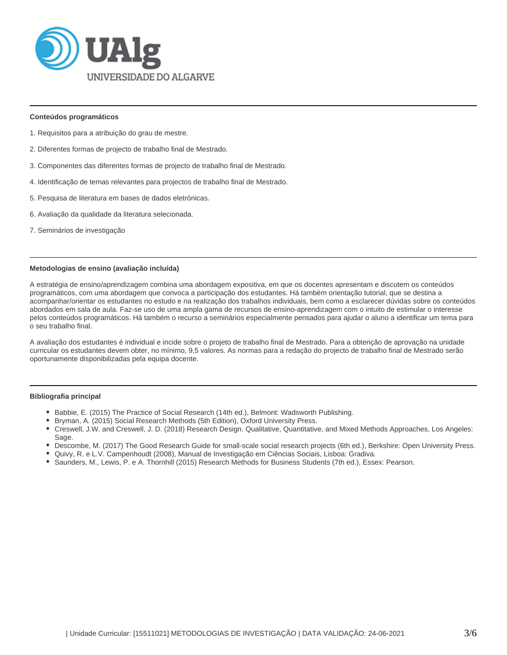

#### **Conteúdos programáticos**

- 1. Requisitos para a atribuição do grau de mestre.
- 2. Diferentes formas de projecto de trabalho final de Mestrado.
- 3. Componentes das diferentes formas de projecto de trabalho final de Mestrado.
- 4. Identificação de temas relevantes para projectos de trabalho final de Mestrado.
- 5. Pesquisa de literatura em bases de dados eletrónicas.
- 6. Avaliação da qualidade da literatura selecionada.
- 7. Seminários de investigação

#### **Metodologias de ensino (avaliação incluída)**

A estratégia de ensino/aprendizagem combina uma abordagem expositiva, em que os docentes apresentam e discutem os conteúdos programáticos, com uma abordagem que convoca a participação dos estudantes. Há também orientação tutorial, que se destina a acompanhar/orientar os estudantes no estudo e na realização dos trabalhos individuais, bem como a esclarecer dúvidas sobre os conteúdos abordados em sala de aula. Faz-se uso de uma ampla gama de recursos de ensino-aprendizagem com o intuito de estimular o interesse pelos conteúdos programáticos. Há também o recurso a seminários especialmente pensados para ajudar o aluno a identificar um tema para o seu trabalho final.

A avaliação dos estudantes é individual e incide sobre o projeto de trabalho final de Mestrado. Para a obtenção de aprovação na unidade curricular os estudantes devem obter, no mínimo, 9,5 valores. As normas para a redação do projecto de trabalho final de Mestrado serão oportunamente disponibilizadas pela equipa docente.

#### **Bibliografia principal**

- Babbie, E. (2015) The Practice of Social Research (14th ed.), Belmont: Wadsworth Publishing.
- **Bryman, A. (2015) Social Research Methods (5th Edition), Oxford University Press.**
- Creswell, J.W. and Creswell, J. D. (2018) Research Design. Qualitative, Quantitative, and Mixed Methods Approaches, Los Angeles: Sage.
- Descombe, M. (2017) The Good Research Guide for small-scale social research projects (6th ed.), Berkshire: Open University Press.
- Quivy, R. e L.V. Campenhoudt (2008), Manual de Investigação em Ciências Sociais, Lisboa: Gradiva.
- Saunders, M., Lewis, P. e A. Thornhill (2015) Research Methods for Business Students (7th ed.), Essex: Pearson.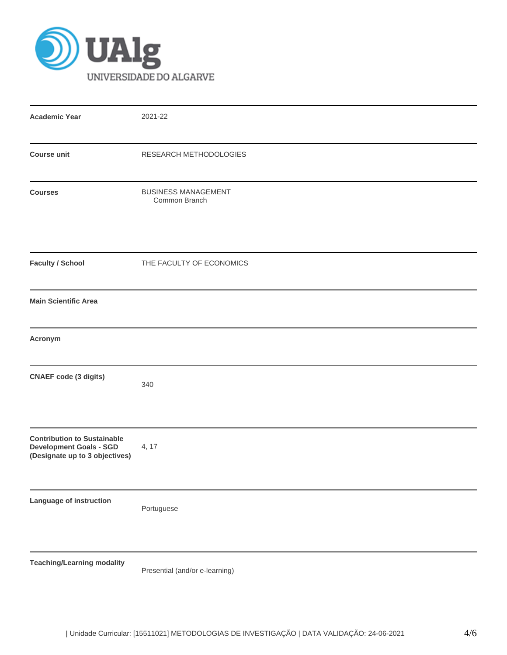

| <b>Academic Year</b>                                                                                   | 2021-22                                     |  |  |  |  |
|--------------------------------------------------------------------------------------------------------|---------------------------------------------|--|--|--|--|
| <b>Course unit</b>                                                                                     | RESEARCH METHODOLOGIES                      |  |  |  |  |
| <b>Courses</b>                                                                                         | <b>BUSINESS MANAGEMENT</b><br>Common Branch |  |  |  |  |
| <b>Faculty / School</b>                                                                                | THE FACULTY OF ECONOMICS                    |  |  |  |  |
| <b>Main Scientific Area</b>                                                                            |                                             |  |  |  |  |
| Acronym                                                                                                |                                             |  |  |  |  |
| <b>CNAEF code (3 digits)</b>                                                                           | 340                                         |  |  |  |  |
| <b>Contribution to Sustainable</b><br><b>Development Goals - SGD</b><br>(Designate up to 3 objectives) | 4, 17                                       |  |  |  |  |
| Language of instruction                                                                                | Portuguese                                  |  |  |  |  |
| <b>Teaching/Learning modality</b>                                                                      |                                             |  |  |  |  |

Presential (and/or e-learning)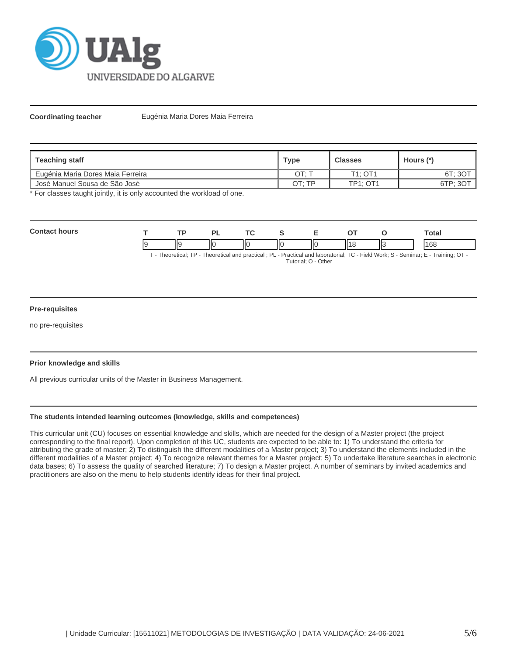

**Coordinating teacher** Eugénia Maria Dores Maia Ferreira

| Teaching staff                    | Type  | <b>Classes</b>  | Hours (*) |
|-----------------------------------|-------|-----------------|-----------|
| Eugénia Maria Dores Maia Ferreira | OT: T | T1: OT1         | 6T; 3OT   |
| José Manuel Sousa de São José     | OT·TP | <b>TP1: OT1</b> | 6TP; 3OT  |

\* For classes taught jointly, it is only accounted the workload of one.

| $C_{\alpha n}$ |     | o.                       |      | -  |           | <b>Total</b>         |
|----------------|-----|--------------------------|------|----|-----------|----------------------|
|                | llg | $\overline{\phantom{a}}$ | -llo | ΠС | н٠<br>113 | $\overline{a}$<br>ЮC |

T - Theoretical; TP - Theoretical and practical ; PL - Practical and laboratorial; TC - Field Work; S - Seminar; E - Training; OT - Tutorial; O - Other

# **Pre-requisites**

no pre-requisites

# **Prior knowledge and skills**

All previous curricular units of the Master in Business Management.

# **The students intended learning outcomes (knowledge, skills and competences)**

This curricular unit (CU) focuses on essential knowledge and skills, which are needed for the design of a Master project (the project corresponding to the final report). Upon completion of this UC, students are expected to be able to: 1) To understand the criteria for attributing the grade of master; 2) To distinguish the different modalities of a Master project; 3) To understand the elements included in the different modalities of a Master project; 4) To recognize relevant themes for a Master project; 5) To undertake literature searches in electronic data bases; 6) To assess the quality of searched literature; 7) To design a Master project. A number of seminars by invited academics and practitioners are also on the menu to help students identify ideas for their final project.